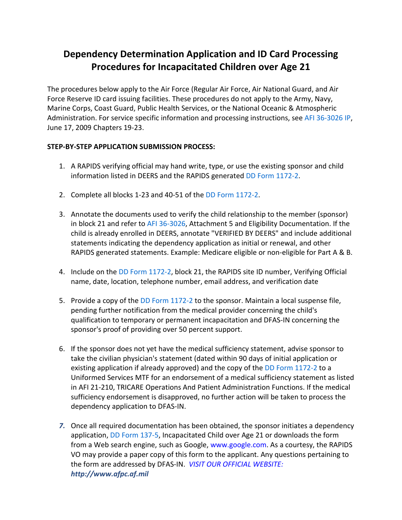## **Dependency Determination Application and ID Card Processing Procedures for Incapacitated Children over Age 21**

The procedures below apply to the Air Force (Regular Air Force, Air National Guard, and Air Force Reserve ID card issuing facilities. These procedures do not apply to the Army, Navy, Marine Corps, Coast Guard, Public Health Services, or the National Oceanic & Atmospheric Administration. For service specific information and processing instructions, see AFI 36-3026 IP, June 17, 2009 Chapters 19-23.

## **STEP-BY-STEP APPLICATION SUBMISSION PROCESS:**

- 1. A RAPIDS verifying official may hand write, type, or use the existing sponsor and child information listed in DEERS and the RAPIDS generated DD Form 1172-2.
- 2. Complete all blocks 1-23 and 40-51 of the DD Form 1172-2.
- 3. Annotate the documents used to verify the child relationship to the member (sponsor) in block 21 and refer to AFI 36-3026, Attachment 5 and Eligibility Documentation. If the child is already enrolled in DEERS, annotate "VERIFIED BY DEERS" and include additional statements indicating the dependency application as initial or renewal, and other RAPIDS generated statements. Example: Medicare eligible or non-eligible for Part A & B.
- 4. Include on the DD Form 1172-2, block 21, the RAPIDS site ID number, Verifying Official name, date, location, telephone number, email address, and verification date
- 5. Provide a copy of the DD Form 1172-2 to the sponsor. Maintain a local suspense file, pending further notification from the medical provider concerning the child's qualification to temporary or permanent incapacitation and DFAS-IN concerning the sponsor's proof of providing over 50 percent support.
- 6. If the sponsor does not yet have the medical sufficiency statement, advise sponsor to take the civilian physician's statement (dated within 90 days of initial application or existing application if already approved) and the copy of the DD Form 1172-2 to a Uniformed Services MTF for an endorsement of a medical sufficiency statement as listed in AFI 21-210, TRICARE Operations And Patient Administration Functions. If the medical sufficiency endorsement is disapproved, no further action will be taken to process the dependency application to DFAS-IN.
- *7.* Once all required documentation has been obtained, the sponsor initiates a dependency application, DD Form 137-5, Incapacitated Child over Age 21 or downloads the form from a Web search engine, such as Google, www.google.com. As a courtesy, the RAPIDS VO may provide a paper copy of this form to the applicant. Any questions pertaining to the form are addressed by DFAS-IN. *VISIT OUR OFFICIAL WEBSITE: http://www.afpc.af.mil*